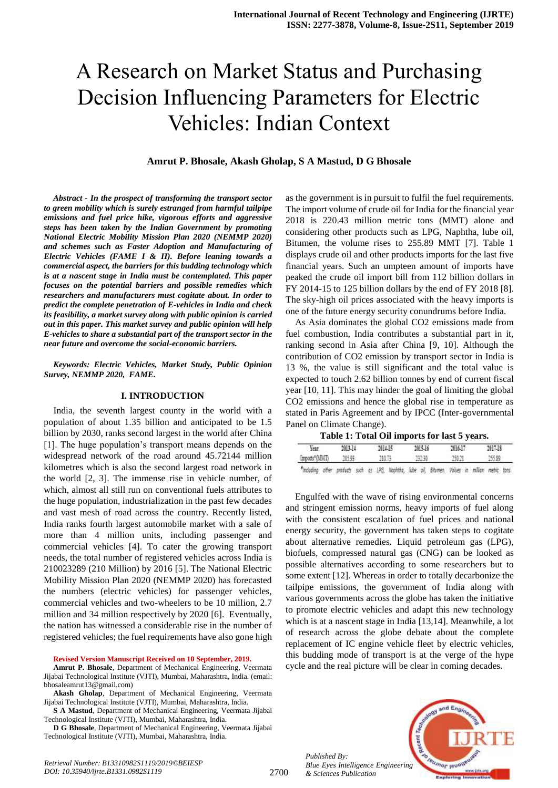# A Research on Market Status and Purchasing Decision Influencing Parameters for Electric Vehicles: Indian Context

# **Amrut P. Bhosale, Akash Gholap, S A Mastud, D G Bhosale**

*Abstract - In the prospect of transforming the transport sector to green mobility which is surely estranged from harmful tailpipe emissions and fuel price hike, vigorous efforts and aggressive steps has been taken by the Indian Government by promoting National Electric Mobility Mission Plan 2020 (NEMMP 2020) and schemes such as Faster Adoption and Manufacturing of Electric Vehicles (FAME I & II). Before leaning towards a commercial aspect, the barriers for this budding technology which is at a nascent stage in India must be contemplated. This paper focuses on the potential barriers and possible remedies which researchers and manufacturers must cogitate about. In order to predict the complete penetration of E-vehicles in India and check its feasibility, a market survey along with public opinion is carried out in this paper. This market survey and public opinion will help E-vehicles to share a substantial part of the transport sector in the near future and overcome the social-economic barriers.* 

#### *Keywords: Electric Vehicles, Market Study, Public Opinion Survey, NEMMP 2020, FAME.*

#### **I. INTRODUCTION**

India, the seventh largest county in the world with a population of about 1.35 billion and anticipated to be 1.5 billion by 2030, ranks second largest in the world after China [1]. The huge population"s transport means depends on the widespread network of the road around 45.72144 million kilometres which is also the second largest road network in the world [2, 3]. The immense rise in vehicle number, of which, almost all still run on conventional fuels attributes to the huge population, industrialization in the past few decades and vast mesh of road across the country. Recently listed, India ranks fourth largest automobile market with a sale of more than 4 million units, including passenger and commercial vehicles [4]. To cater the growing transport needs, the total number of registered vehicles across India is 210023289 (210 Million) by 2016 [5]. The National Electric Mobility Mission Plan 2020 (NEMMP 2020) has forecasted the numbers (electric vehicles) for passenger vehicles, commercial vehicles and two-wheelers to be 10 million, 2.7 million and 34 million respectively by 2020 [6]. Eventually, the nation has witnessed a considerable rise in the number of registered vehicles; the fuel requirements have also gone high

#### **Revised Version Manuscript Received on 10 September, 2019.**

**Amrut P. Bhosale**, Department of Mechanical Engineering, Veermata Jijabai Technological Institute (VJTI), Mumbai, Maharashtra, India. (email: bhosaleamrut13@gmail.com)

**S A Mastud**, Department of Mechanical Engineering, Veermata Jijabai Technological Institute (VJTI), Mumbai, Maharashtra, India.

**D G Bhosale**, Department of Mechanical Engineering, Veermata Jijabai Technological Institute (VJTI), Mumbai, Maharashtra, India.

as the government is in pursuit to fulfil the fuel requirements. The import volume of crude oil for India for the financial year 2018 is 220.43 million metric tons (MMT) alone and considering other products such as LPG, Naphtha, lube oil, Bitumen, the volume rises to 255.89 MMT [7]. Table 1 displays crude oil and other products imports for the last five financial years. Such an umpteen amount of imports have peaked the crude oil import bill from 112 billion dollars in FY 2014-15 to 125 billion dollars by the end of FY 2018 [8]. The sky-high oil prices associated with the heavy imports is one of the future energy security conundrums before India.

As Asia dominates the global CO2 emissions made from fuel combustion, India contributes a substantial part in it, ranking second in Asia after China [9, 10]. Although the contribution of CO2 emission by transport sector in India is 13 %, the value is still significant and the total value is expected to touch 2.62 billion tonnes by end of current fiscal year [10, 11]. This may hinder the goal of limiting the global CO2 emissions and hence the global rise in temperature as stated in Paris Agreement and by IPCC (Inter-governmental Panel on Climate Change).

| Year                                                                                             |  | 2013.14 |  | 2014-15 |        |  | 2015.16 |        |  | 2016.17 |  | 2017-18 |  |
|--------------------------------------------------------------------------------------------------|--|---------|--|---------|--------|--|---------|--------|--|---------|--|---------|--|
| Imports*(MBIT)                                                                                   |  | 205.99  |  |         | 210.73 |  |         | 232.90 |  | 25023   |  | 255.89  |  |
| "Including other products such as LPG, Nophtha, lube oil, Bitumen. Volues in million metric tons |  |         |  |         |        |  |         |        |  |         |  |         |  |

Engulfed with the wave of rising environmental concerns and stringent emission norms, heavy imports of fuel along with the consistent escalation of fuel prices and national energy security, the government has taken steps to cogitate about alternative remedies. Liquid petroleum gas (LPG), biofuels, compressed natural gas (CNG) can be looked as possible alternatives according to some researchers but to some extent [12]. Whereas in order to totally decarbonize the tailpipe emissions, the government of India along with various governments across the globe has taken the initiative to promote electric vehicles and adapt this new technology which is at a nascent stage in India [13,14]. Meanwhile, a lot of research across the globe debate about the complete replacement of IC engine vehicle fleet by electric vehicles, this budding mode of transport is at the verge of the hype cycle and the real picture will be clear in coming decades.

*Published By: Blue Eyes Intelligence Engineering & Sciences Publication* 



**Akash Gholap**, Department of Mechanical Engineering, Veermata Jijabai Technological Institute (VJTI), Mumbai, Maharashtra, India.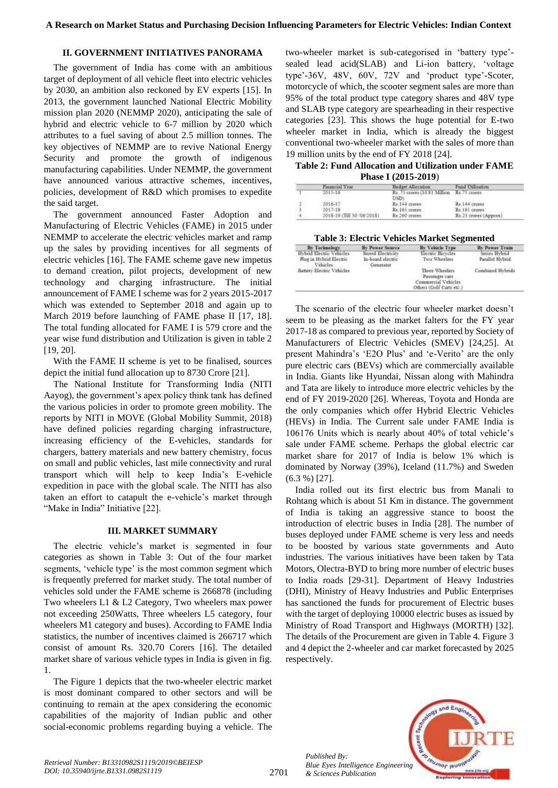# **II. GOVERNMENT INITIATIVES PANORAMA**

The government of India has come with an ambitious target of deployment of all vehicle fleet into electric vehicles by 2030, an ambition also reckoned by EV experts [15]. In 2013, the government launched National Electric Mobility mission plan 2020 (NEMMP 2020), anticipating the sale of hybrid and electric vehicle to 6-7 million by 2020 which attributes to a fuel saving of about 2.5 million tonnes. The key objectives of NEMMP are to revive National Energy Security and promote the growth of indigenous manufacturing capabilities. Under NEMMP, the government have announced various attractive schemes, incentives, policies, development of R&D which promises to expedite the said target.

The government announced Faster Adoption and Manufacturing of Electric Vehicles (FAME) in 2015 under NEMMP to accelerate the electric vehicles market and ramp up the sales by providing incentives for all segments of electric vehicles [16]. The FAME scheme gave new impetus to demand creation, pilot projects, development of new technology and charging infrastructure. The initial announcement of FAME I scheme was for 2 years 2015-2017 which was extended to September 2018 and again up to March 2019 before launching of FAME phase II [17, 18]. The total funding allocated for FAME I is 579 crore and the year wise fund distribution and Utilization is given in table 2 [19, 20].

With the FAME II scheme is yet to be finalised, sources depict the initial fund allocation up to 8730 Crore [21].

The National Institute for Transforming India (NITI Aayog), the government's apex policy think tank has defined the various policies in order to promote green mobility. The reports by NITI in MOVE (Global Mobility Summit, 2018) have defined policies regarding charging infrastructure, increasing efficiency of the E-vehicles, standards for chargers, battery materials and new battery chemistry, focus on small and public vehicles, last mile connectivity and rural transport which will help to keep India"s E-vehicle expedition in pace with the global scale. The NITI has also taken an effort to catapult the e-vehicle"s market through "Make in India" Initiative [22].

#### **III. MARKET SUMMARY**

The electric vehicle"s market is segmented in four categories as shown in Table 3: Out of the four market segments, 'vehicle type' is the most common segment which is frequently preferred for market study. The total number of vehicles sold under the FAME scheme is 266878 (including Two wheelers L1 & L2 Category, Two wheelers max power not exceeding 250Watts, Three wheelers L5 category, four wheelers M1 category and buses). According to FAME India statistics, the number of incentives claimed is 266717 which consist of amount Rs. 320.70 Corers [16]. The detailed market share of various vehicle types in India is given in fig. 1.

The Figure 1 depicts that the two-wheeler electric market is most dominant compared to other sectors and will be continuing to remain at the apex considering the economic capabilities of the majority of Indian public and other social-economic problems regarding buying a vehicle. The

two-wheeler market is sub-categorised in "battery type" sealed lead acid(SLAB) and Li-ion battery, "voltage type'-36V, 48V, 60V, 72V and 'product type'-Scoter, motorcycle of which, the scooter segment sales are more than 95% of the total product type category shares and 48V type and SLAB type category are spearheading in their respective categories [23]. This shows the huge potential for E-two wheeler market in India, which is already the biggest conventional two-wheeler market with the sales of more than 19 million units by the end of FY 2018 [24].

**Table 2: Fund Allocation and Utilization under FAME Phase I (2015-2019**)

|    | Financial Year             | Budget Allocation                                  | Fund Utilization      |
|----|----------------------------|----------------------------------------------------|-----------------------|
|    | 2015-16                    | Rs. 75 crares (10.81 Million Rs. 75 crares<br>USDI |                       |
| ż. | 2016-17                    | Rs.144 cropps                                      | Rs.144 crotes         |
| э  | 2017-18                    | Rs.165 crores                                      | Rt 165 crores         |
|    | 2018-19 (Till 30 /06/2018) | Rx 260 crotes                                      | Rx 23 crores (Appoux) |

#### **Table 3: Electric Vehicles Market Segmented**

| By Technology                                                   | <b>By Power Source</b>                               | By Vehicle Type                                                                     | By Power Train                   |
|-----------------------------------------------------------------|------------------------------------------------------|-------------------------------------------------------------------------------------|----------------------------------|
| Hybrid Electric Vehicles<br>Plug in Hybrid Electric<br>Vehicles | Stored Electricity<br>In-board electric<br>Generates | Electric Bicycles<br>Two Wheelers                                                   | Senies Hybrid<br>Parallel Hybrid |
| Battery Electric Vehicles                                       |                                                      | Three Wheelers<br>Passenger cars<br>Commercial Vehicles<br>Others (Golf Carts etc.) | Combined Hybrids                 |

The scenario of the electric four wheeler market doesn"t seem to be pleasing as the market falters for the FY year 2017-18 as compared to previous year, reported by Society of Manufacturers of Electric Vehicles (SMEV) [24,25]. At present Mahindra"s "E2O Plus" and "e-Verito" are the only pure electric cars (BEVs) which are commercially available in India. Giants like Hyundai, Nissan along with Mahindra and Tata are likely to introduce more electric vehicles by the end of FY 2019-2020 [26]. Whereas, Toyota and Honda are the only companies which offer Hybrid Electric Vehicles (HEVs) in India. The Current sale under FAME India is 106176 Units which is nearly about 40% of total vehicle"s sale under FAME scheme. Perhaps the global electric car market share for 2017 of India is below 1% which is dominated by Norway (39%), Iceland (11.7%) and Sweden (6.3 %) [27].

India rolled out its first electric bus from Manali to Rohtang which is about 51 Km in distance. The government of India is taking an aggressive stance to boost the introduction of electric buses in India [28]. The number of buses deployed under FAME scheme is very less and needs to be boosted by various state governments and Auto industries. The various initiatives have been taken by Tata Motors, Olectra-BYD to bring more number of electric buses to India roads [29-31]. Department of Heavy Industries (DHI), Ministry of Heavy Industries and Public Enterprises has sanctioned the funds for procurement of Electric buses with the target of deploying 10000 electric buses as issued by Ministry of Road Transport and Highways (MORTH) [32]. The details of the Procurement are given in Table 4. Figure 3 and 4 depict the 2-wheeler and car market forecasted by 2025 respectively.



*Published By:*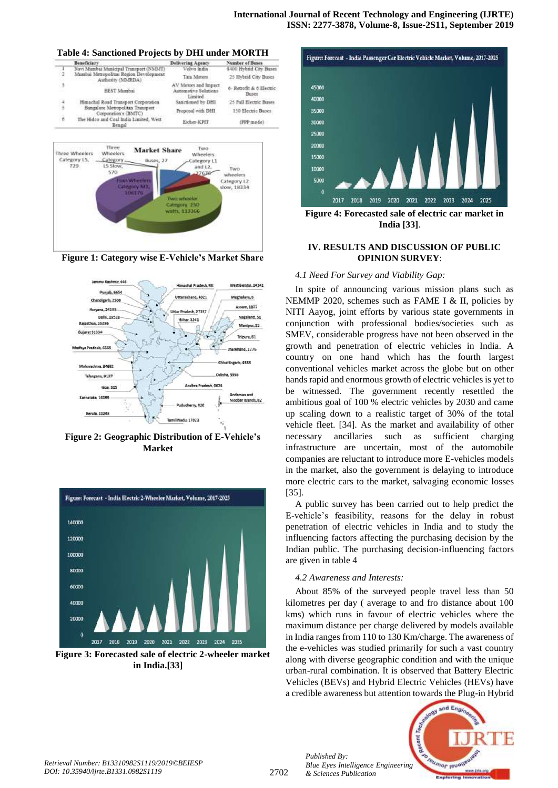









**Figure 2: Geographic Distribution of E-Vehicle's Market**



**Figure 3: Forecasted sale of electric 2-wheeler market in India.[33]**



**Figure 4: Forecasted sale of electric car market in India [33]**.

# **IV. RESULTS AND DISCUSSION OF PUBLIC OPINION SURVEY**:

#### *4.1 Need For Survey and Viability Gap:*

In spite of announcing various mission plans such as NEMMP 2020, schemes such as FAME I & II, policies by NITI Aayog, joint efforts by various state governments in conjunction with professional bodies/societies such as SMEV, considerable progress have not been observed in the growth and penetration of electric vehicles in India. A country on one hand which has the fourth largest conventional vehicles market across the globe but on other hands rapid and enormous growth of electric vehicles is yet to be witnessed. The government recently resettled the ambitious goal of 100 % electric vehicles by 2030 and came up scaling down to a realistic target of 30% of the total vehicle fleet. [34]. As the market and availability of other necessary ancillaries such as sufficient charging infrastructure are uncertain, most of the automobile companies are reluctant to introduce more E-vehicles models in the market, also the government is delaying to introduce more electric cars to the market, salvaging economic losses [35].

A public survey has been carried out to help predict the E-vehicle"s feasibility, reasons for the delay in robust penetration of electric vehicles in India and to study the influencing factors affecting the purchasing decision by the Indian public. The purchasing decision-influencing factors are given in table 4

# *4.2 Awareness and Interests:*

About 85% of the surveyed people travel less than 50 kilometres per day ( average to and fro distance about 100 kms) which runs in favour of electric vehicles where the maximum distance per charge delivered by models available in India ranges from 110 to 130 Km/charge. The awareness of the e-vehicles was studied primarily for such a vast country along with diverse geographic condition and with the unique urban-rural combination. It is observed that Battery Electric Vehicles (BEVs) and Hybrid Electric Vehicles (HEVs) have a credible awareness but attention towards the Plug-in Hybrid



*Published By:*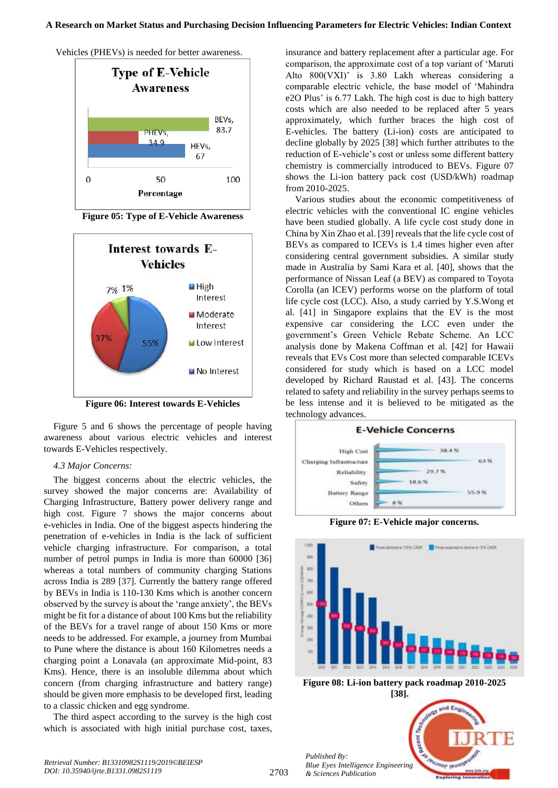



**Figure 05: Type of E-Vehicle Awareness**



**Figure 06: Interest towards E-Vehicles**

Figure 5 and 6 shows the percentage of people having awareness about various electric vehicles and interest towards E-Vehicles respectively.

# *4.3 Major Concerns:*

The biggest concerns about the electric vehicles, the survey showed the major concerns are: Availability of Charging Infrastructure, Battery power delivery range and high cost. Figure 7 shows the major concerns about e-vehicles in India. One of the biggest aspects hindering the penetration of e-vehicles in India is the lack of sufficient vehicle charging infrastructure. For comparison, a total number of petrol pumps in India is more than 60000 [36] whereas a total numbers of community charging Stations across India is 289 [37]. Currently the battery range offered by BEVs in India is 110-130 Kms which is another concern observed by the survey is about the "range anxiety", the BEVs might be fit for a distance of about 100 Kms but the reliability of the BEVs for a travel range of about 150 Kms or more needs to be addressed. For example, a journey from Mumbai to Pune where the distance is about 160 Kilometres needs a charging point a Lonavala (an approximate Mid-point, 83 Kms). Hence, there is an insoluble dilemma about which concern (from charging infrastructure and battery range) should be given more emphasis to be developed first, leading to a classic chicken and egg syndrome.

The third aspect according to the survey is the high cost which is associated with high initial purchase cost, taxes, insurance and battery replacement after a particular age. For comparison, the approximate cost of a top variant of "Maruti Alto 800(VXI)' is 3.80 Lakh whereas considering a comparable electric vehicle, the base model of "Mahindra e2O Plus" is 6.77 Lakh. The high cost is due to high battery costs which are also needed to be replaced after 5 years approximately, which further braces the high cost of E-vehicles. The battery (Li-ion) costs are anticipated to decline globally by 2025 [38] which further attributes to the reduction of E-vehicle"s cost or unless some different battery chemistry is commercially introduced to BEVs. Figure 07 shows the Li-ion battery pack cost (USD/kWh) roadmap from 2010-2025.

Various studies about the economic competitiveness of electric vehicles with the conventional IC engine vehicles have been studied globally. A life cycle cost study done in China by Xin Zhao et al. [39] reveals that the life cycle cost of BEVs as compared to ICEVs is 1.4 times higher even after considering central government subsidies. A similar study made in Australia by Sami Kara et al. [40], shows that the performance of Nissan Leaf (a BEV) as compared to Toyota Corolla (an ICEV) performs worse on the platform of total life cycle cost (LCC). Also, a study carried by Y.S.Wong et al. [41] in Singapore explains that the EV is the most expensive car considering the LCC even under the government"s Green Vehicle Rebate Scheme. An LCC analysis done by Makena Coffman et al. [42] for Hawaii reveals that EVs Cost more than selected comparable ICEVs considered for study which is based on a LCC model developed by Richard Raustad et al. [43]. The concerns related to safety and reliability in the survey perhaps seems to be less intense and it is believed to be mitigated as the technology advances.



**Figure 07: E-Vehicle major concerns.**



**Figure 08: Li-ion battery pack roadmap 2010-2025 [38].**

ad B

**Umor** II

*Published By: Blue Eyes Intelligence Engineering & Sciences Publication* 

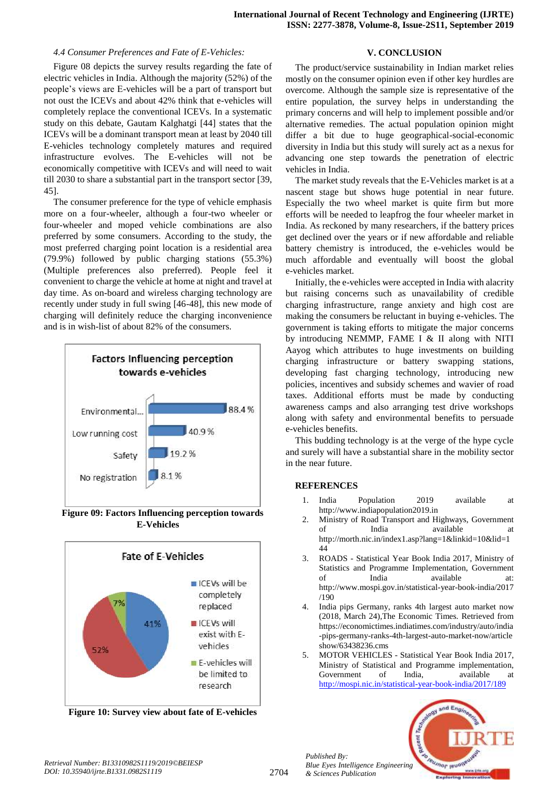# *4.4 Consumer Preferences and Fate of E-Vehicles:*

Figure 08 depicts the survey results regarding the fate of electric vehicles in India. Although the majority (52%) of the people"s views are E-vehicles will be a part of transport but not oust the ICEVs and about 42% think that e-vehicles will completely replace the conventional ICEVs. In a systematic study on this debate, Gautam Kalghatgi [44] states that the ICEVs will be a dominant transport mean at least by 2040 till E-vehicles technology completely matures and required infrastructure evolves. The E-vehicles will not be economically competitive with ICEVs and will need to wait till 2030 to share a substantial part in the transport sector [39, 45].

The consumer preference for the type of vehicle emphasis more on a four-wheeler, although a four-two wheeler or four-wheeler and moped vehicle combinations are also preferred by some consumers. According to the study, the most preferred charging point location is a residential area (79.9%) followed by public charging stations (55.3%) (Multiple preferences also preferred). People feel it convenient to charge the vehicle at home at night and travel at day time. As on-board and wireless charging technology are recently under study in full swing [46-48], this new mode of charging will definitely reduce the charging inconvenience and is in wish-list of about 82% of the consumers.



**Figure 09: Factors Influencing perception towards E-Vehicles**



**Figure 10: Survey view about fate of E-vehicles**

# **V. CONCLUSION**

The product/service sustainability in Indian market relies mostly on the consumer opinion even if other key hurdles are overcome. Although the sample size is representative of the entire population, the survey helps in understanding the primary concerns and will help to implement possible and/or alternative remedies. The actual population opinion might differ a bit due to huge geographical-social-economic diversity in India but this study will surely act as a nexus for advancing one step towards the penetration of electric vehicles in India.

The market study reveals that the E-Vehicles market is at a nascent stage but shows huge potential in near future. Especially the two wheel market is quite firm but more efforts will be needed to leapfrog the four wheeler market in India. As reckoned by many researchers, if the battery prices get declined over the years or if new affordable and reliable battery chemistry is introduced, the e-vehicles would be much affordable and eventually will boost the global e-vehicles market.

Initially, the e-vehicles were accepted in India with alacrity but raising concerns such as unavailability of credible charging infrastructure, range anxiety and high cost are making the consumers be reluctant in buying e-vehicles. The government is taking efforts to mitigate the major concerns by introducing NEMMP, FAME I & II along with NITI Aayog which attributes to huge investments on building charging infrastructure or battery swapping stations, developing fast charging technology, introducing new policies, incentives and subsidy schemes and wavier of road taxes. Additional efforts must be made by conducting awareness camps and also arranging test drive workshops along with safety and environmental benefits to persuade e-vehicles benefits.

This budding technology is at the verge of the hype cycle and surely will have a substantial share in the mobility sector in the near future.

# **REFERENCES**

- 1. India Population 2019 available at http://www.indiapopulation2019.in
- 2. Ministry of Road Transport and Highways, Government of India available at http://morth.nic.in/index1.asp?lang=1&linkid=10&lid=1 44
- 3. ROADS Statistical Year Book India 2017, Ministry of Statistics and Programme Implementation, Government of India available at: http://www.mospi.gov.in/statistical-year-book-india/2017 /190
- 4. India pips Germany, ranks 4th largest auto market now (2018, March 24),The Economic Times. Retrieved from https://economictimes.indiatimes.com/industry/auto/india -pips-germany-ranks-4th-largest-auto-market-now/article show/63438236.cms
- 5. MOTOR VEHICLES Statistical Year Book India 2017, Ministry of Statistical and Programme implementation, Government of India, available at <http://mospi.nic.in/statistical-year-book-india/2017/189>



*Published By:*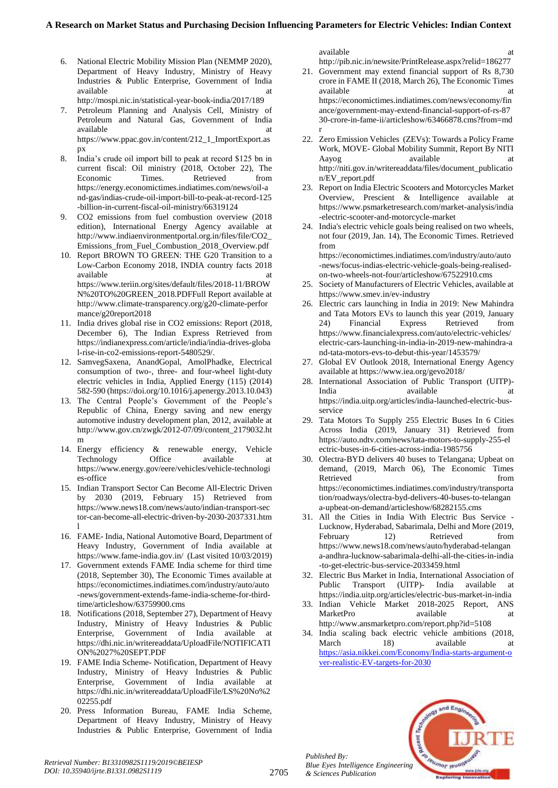- 6. National Electric Mobility Mission Plan (NEMMP 2020), Department of Heavy Industry, Ministry of Heavy Industries & Public Enterprise, Government of India available at a structure at a structure at a structure at a structure at a structure at a structure at a structure at a structure at a structure at a structure at a structure at a structure at a structure at a structure at http://mospi.nic.in/statistical-year-book-india/2017/189
- 7. Petroleum Planning and Analysis Cell, Ministry of Petroleum and Natural Gas, Government of India available at a state of  $\alpha$  at a state of  $\alpha$  at a state of  $\alpha$  at a state of  $\alpha$  at a state of  $\alpha$  at a state of  $\alpha$  at a state of  $\alpha$  at a state of  $\alpha$  at a state of  $\alpha$  at a state of  $\alpha$  at a state of  $\alpha$  at https://www.ppac.gov.in/content/212\_1\_ImportExport.as px
- 8. India"s crude oil import bill to peak at record \$125 bn in current fiscal: Oil ministry (2018, October 22), The Economic Times. Retrieved from https://energy.economictimes.indiatimes.com/news/oil-a nd-gas/indias-crude-oil-import-bill-to-peak-at-record-125 -billion-in-current-fiscal-oil-ministry/66319124
- 9. CO2 emissions from fuel combustion overview (2018 edition), International Energy Agency available at http://www.indiaenvironmentportal.org.in/files/file/CO2\_ Emissions\_from\_Fuel\_Combustion\_2018\_Overview.pdf
- 10. Report BROWN TO GREEN: THE G20 Transition to a Low-Carbon Economy 2018, INDIA country facts 2018 available https://www.teriin.org/sites/default/files/2018-11/BROW N%20TO%20GREEN\_2018.PDFFull Report available at http://www.climate-transparency.org/g20-climate-perfor mance/g20report2018
- 11. India drives global rise in CO2 emissions: Report (2018, December 6), The Indian Express Retrieved from https://indianexpress.com/article/india/india-drives-globa l-rise-in-co2-emissions-report-5480529/.
- 12. SamvegSaxena, AnandGopal, AmolPhadke, Electrical consumption of two-, three- and four-wheel light-duty electric vehicles in India, Applied Energy (115) (2014) 582-590 (https://doi.org/10.1016/j.apenergy.2013.10.043)
- 13. The Central People"s Government of the People"s Republic of China, Energy saving and new energy automotive industry development plan, 2012, available at http://www.gov.cn/zwgk/2012-07/09/content\_2179032.ht m
- 14. Energy efficiency & renewable energy, Vehicle Technology Office available at https://www.energy.gov/eere/vehicles/vehicle-technologi es-office
- 15. Indian Transport Sector Can Become All-Electric Driven by 2030 (2019, February 15) Retrieved from https://www.news18.com/news/auto/indian-transport-sec tor-can-become-all-electric-driven-by-2030-2037331.htm l
- 16. FAME- India, National Automotive Board, Department of Heavy Industry, Government of India available at https://www.fame-india.gov.in/ (Last visited 10/03/2019)
- 17. Government extends FAME India scheme for third time (2018, September 30), The Economic Times available at https://economictimes.indiatimes.com/industry/auto/auto -news/government-extends-fame-india-scheme-for-thirdtime/articleshow/63759900.cms
- 18. Notifications (2018, September 27), Department of Heavy Industry, Ministry of Heavy Industries & Public Enterprise, Government of India available at https://dhi.nic.in/writereaddata/UploadFile/NOTIFICATI ON%2027%20SEPT.PDF
- 19. FAME India Scheme- Notification, Department of Heavy Industry, Ministry of Heavy Industries & Public Enterprise, Government of India available at https://dhi.nic.in/writereaddata/UploadFile/LS%20No%2 02255.pdf
- 20. Press Information Bureau, FAME India Scheme, Department of Heavy Industry, Ministry of Heavy Industries & Public Enterprise, Government of India

available at a state of  $\alpha$  at a state of  $\alpha$  at a state of  $\alpha$  at a state of  $\alpha$ http://pib.nic.in/newsite/PrintRelease.aspx?relid=186277

- 21. Government may extend financial support of Rs 8,730 crore in FAME II (2018, March 26), The Economic Times available at a structure at a structure at a structure at a structure at a structure at a structure at a structure at a structure at a structure at a structure at a structure at a structure at a structure at a structure at https://economictimes.indiatimes.com/news/economy/fin ance/government-may-extend-financial-support-of-rs-87 30-crore-in-fame-ii/articleshow/63466878.cms?from=md r
- 22. Zero Emission Vehicles (ZEVs): Towards a Policy Frame Work, MOVE- Global Mobility Summit, Report By NITI Aayog available at a http://niti.gov.in/writereaddata/files/document\_publicatio n/EV\_report.pdf
- 23. Report on India Electric Scooters and Motorcycles Market Overview, Prescient & Intelligence available at https://www.psmarketresearch.com/market-analysis/india -electric-scooter-and-motorcycle-market
- 24. India's electric vehicle goals being realised on two wheels, not four (2019, Jan. 14), The Economic Times. Retrieved from https://economictimes.indiatimes.com/industry/auto/auto

-news/focus-indias-electric-vehicle-goals-being-realisedon-two-wheels-not-four/articleshow/67522910.cms

- 25. Society of Manufacturers of Electric Vehicles, available at https://www.smev.in/ev-industry
- 26. Electric cars launching in India in 2019: New Mahindra and Tata Motors EVs to launch this year (2019, January 24) Financial Express Retrieved from https://www.financialexpress.com/auto/electric-vehicles/ electric-cars-launching-in-india-in-2019-new-mahindra-a nd-tata-motors-evs-to-debut-this-year/1453579/
- 27. Global EV Outlook 2018, International Energy Agency available at https://www.iea.org/gevo2018/
- 28. International Association of Public Transport (UITP)- India available available at https://india.uitp.org/articles/india-launched-electric-busservice
- 29. Tata Motors To Supply 255 Electric Buses In 6 Cities Across India (2019, January 31) Retrieved from https://auto.ndtv.com/news/tata-motors-to-supply-255-el ectric-buses-in-6-cities-across-india-1985756
- 30. Olectra-BYD delivers 40 buses to Telangana; Upbeat on demand, (2019, March 06), The Economic Times Retrieved from the state of  $\sim$ https://economictimes.indiatimes.com/industry/transporta tion/roadways/olectra-byd-delivers-40-buses-to-telangan a-upbeat-on-demand/articleshow/68282155.cms
- 31. All the Cities in India With Electric Bus Service Lucknow, Hyderabad, Sabarimala, Delhi and More (2019, February 12) Retrieved from https://www.news18.com/news/auto/hyderabad-telangan a-andhra-lucknow-sabarimala-delhi-all-the-cities-in-india -to-get-electric-bus-service-2033459.html
- 32. Electric Bus Market in India, International Association of Public Transport (UITP)- India available at https://india.uitp.org/articles/electric-bus-market-in-india
- 33. Indian Vehicle Market 2018-2025 Report, ANS MarketPro available at http://www.ansmarketpro.com/report.php?id=5108
- 34. India scaling back electric vehicle ambitions (2018, March 18) available at [https://asia.nikkei.com/Economy/India-starts-argument-o](https://asia.nikkei.com/Economy/India-starts-argument-over-realistic-EV-targets-for-2030) [ver-realistic-EV-targets-for-2030](https://asia.nikkei.com/Economy/India-starts-argument-over-realistic-EV-targets-for-2030)



*Published By:*